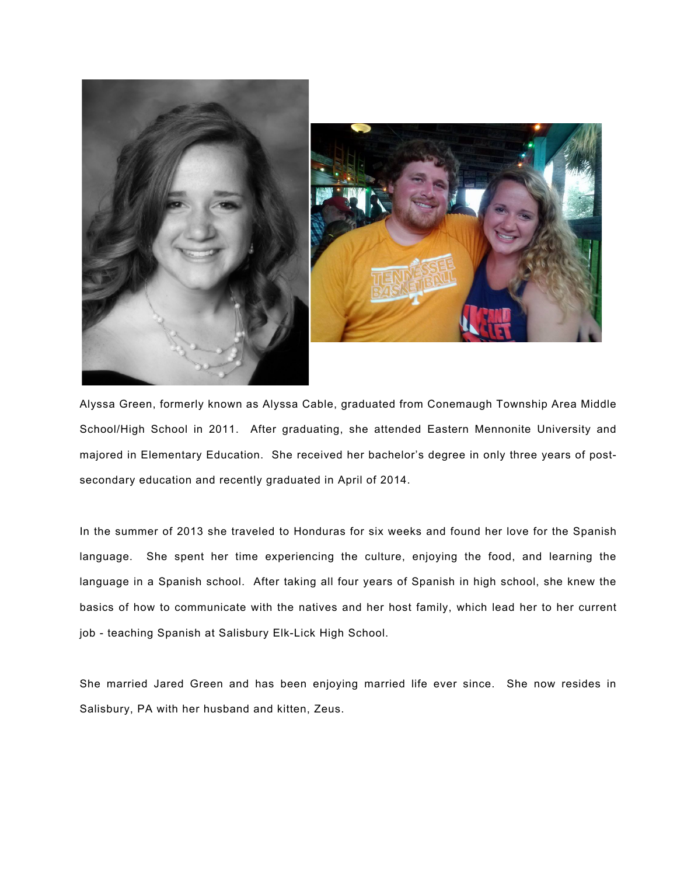

Alyssa Green, formerly known as Alyssa Cable, graduated from Conemaugh Township Area Middle School/High School in 2011. After graduating, she attended Eastern Mennonite University and majored in Elementary Education. She received her bachelor's degree in only three years of postsecondary education and recently graduated in April of 2014.

In the summer of 2013 she traveled to Honduras for six weeks and found her love for the Spanish language. She spent her time experiencing the culture, enjoying the food, and learning the language in a Spanish school. After taking all four years of Spanish in high school, she knew the basics of how to communicate with the natives and her host family, which lead her to her current job - teaching Spanish at Salisbury Elk-Lick High School.

She married Jared Green and has been enjoying married life ever since. She now resides in Salisbury, PA with her husband and kitten, Zeus.